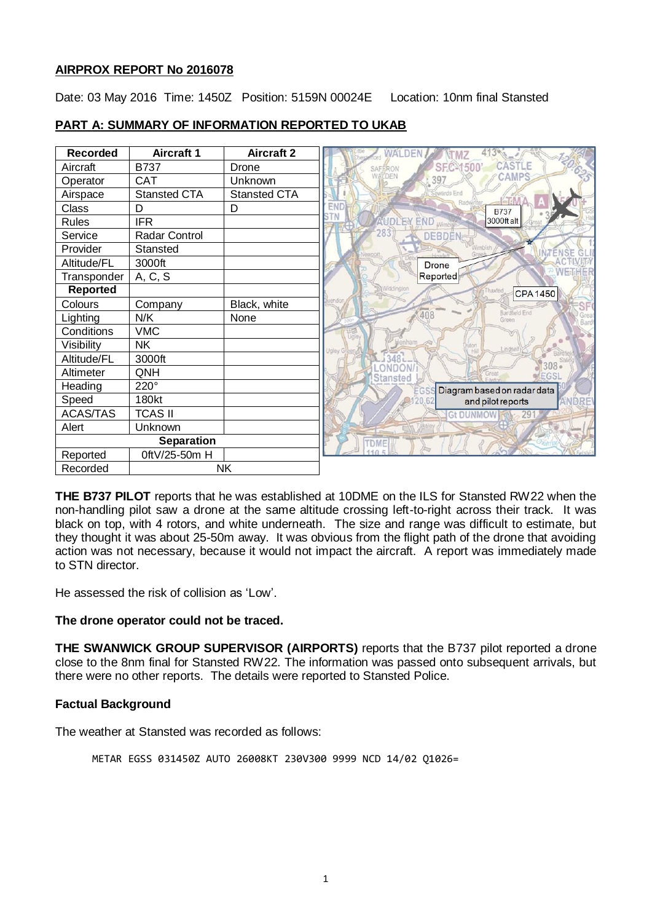# **AIRPROX REPORT No 2016078**

Date: 03 May 2016 Time: 1450Z Position: 5159N 00024E Location: 10nm final Stansted

| <b>Recorded</b>   | <b>Aircraft 1</b>    | <b>Aircraft 2</b> |                                            |
|-------------------|----------------------|-------------------|--------------------------------------------|
| Aircraft          | <b>B737</b>          | Drone             | CASTLE<br><b>SFC-1500</b><br>SAFERON       |
| Operator          | <b>CAT</b>           | Unknown           | <b>AMPS</b><br><b><i>NALDEN</i></b><br>397 |
| Airspace          | <b>Stansted CTA</b>  | Stansted CTA      | Sewards End                                |
| Class             | D                    | D                 | ΕN<br><b>B737</b>                          |
| Rules             | <b>IFR</b>           |                   | 3000ft alt<br><b>UDLEY END Wind</b>        |
| Service           | <b>Radar Control</b> |                   | <b>DEBDE</b>                               |
| Provider          | Stansted             |                   |                                            |
| Altitude/FL       | 3000ft               |                   | <b>Drone</b>                               |
| Transponder       | A, C, S              |                   | Reported                                   |
| Reported          |                      |                   | Widdington<br><b>CPA1450</b>               |
| Colours           | Company              | Black, white      |                                            |
| Lighting          | N/K                  | None              | Bardfield End<br>408<br>Green              |
| Conditions        | <b>VMC</b>           |                   |                                            |
| Visibility        | <b>NK</b>            |                   | Lindse                                     |
| Altitude/FL       | 3000ft               |                   |                                            |
| Altimeter         | QNH                  |                   | Stansted                                   |
| Heading           | 220°                 |                   | Diagram based on radar data                |
| Speed             | 180kt                |                   | and pilot reports                          |
| <b>ACAS/TAS</b>   | <b>TCAS II</b>       |                   | <b>Gt DUNMOW</b><br>291                    |
| Alert             | Unknown              |                   |                                            |
| <b>Separation</b> |                      |                   | TDME                                       |
| Reported          | 0ftV/25-50m H        |                   |                                            |
| Recorded          | <b>NK</b>            |                   |                                            |

## **PART A: SUMMARY OF INFORMATION REPORTED TO UKAB**

**THE B737 PILOT** reports that he was established at 10DME on the ILS for Stansted RW22 when the non-handling pilot saw a drone at the same altitude crossing left-to-right across their track. It was black on top, with 4 rotors, and white underneath. The size and range was difficult to estimate, but they thought it was about 25-50m away. It was obvious from the flight path of the drone that avoiding action was not necessary, because it would not impact the aircraft. A report was immediately made to STN director.

He assessed the risk of collision as 'Low'.

# **The drone operator could not be traced.**

**THE SWANWICK GROUP SUPERVISOR (AIRPORTS)** reports that the B737 pilot reported a drone close to the 8nm final for Stansted RW22. The information was passed onto subsequent arrivals, but there were no other reports. The details were reported to Stansted Police.

# **Factual Background**

The weather at Stansted was recorded as follows:

METAR EGSS 031450Z AUTO 26008KT 230V300 9999 NCD 14/02 Q1026=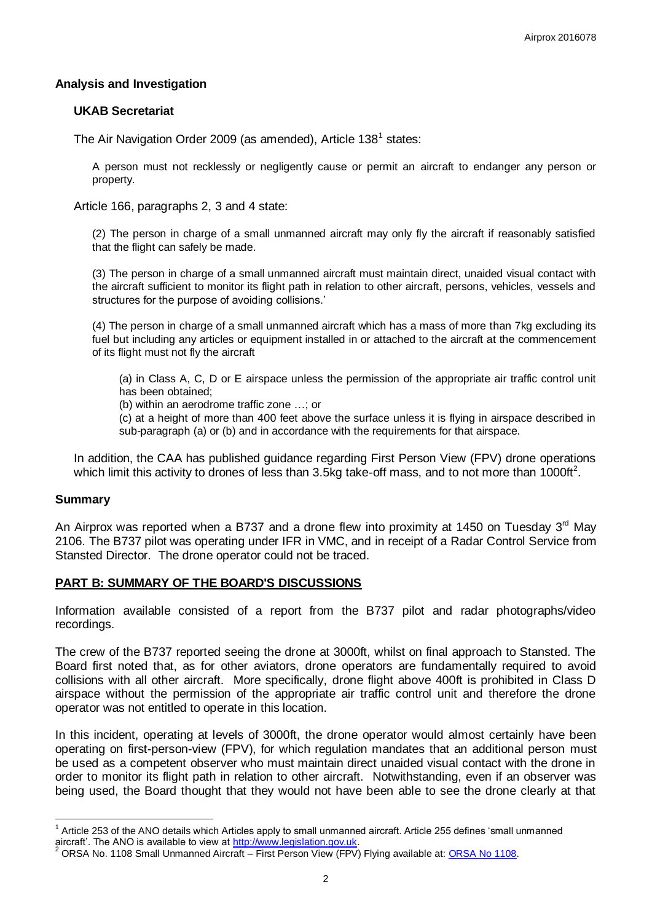# **Analysis and Investigation**

#### **UKAB Secretariat**

The Air Navigation Order 2009 (as amended), Article 138<sup>1</sup> states:

A person must not recklessly or negligently cause or permit an aircraft to endanger any person or property.

Article 166, paragraphs 2, 3 and 4 state:

(2) The person in charge of a small unmanned aircraft may only fly the aircraft if reasonably satisfied that the flight can safely be made.

(3) The person in charge of a small unmanned aircraft must maintain direct, unaided visual contact with the aircraft sufficient to monitor its flight path in relation to other aircraft, persons, vehicles, vessels and structures for the purpose of avoiding collisions.'

(4) The person in charge of a small unmanned aircraft which has a mass of more than 7kg excluding its fuel but including any articles or equipment installed in or attached to the aircraft at the commencement of its flight must not fly the aircraft

(a) in Class A, C, D or E airspace unless the permission of the appropriate air traffic control unit has been obtained;

(b) within an aerodrome traffic zone …; or

(c) at a height of more than 400 feet above the surface unless it is flying in airspace described in sub-paragraph (a) or (b) and in accordance with the requirements for that airspace.

In addition, the CAA has published guidance regarding First Person View (FPV) drone operations which limit this activity to drones of less than 3.5kg take-off mass, and to not more than 1000ft<sup>2</sup>.

# **Summary**

 $\overline{\phantom{a}}$ 

An Airprox was reported when a B737 and a drone flew into proximity at 1450 on Tuesday 3<sup>rd</sup> May 2106. The B737 pilot was operating under IFR in VMC, and in receipt of a Radar Control Service from Stansted Director. The drone operator could not be traced.

# **PART B: SUMMARY OF THE BOARD'S DISCUSSIONS**

Information available consisted of a report from the B737 pilot and radar photographs/video recordings.

The crew of the B737 reported seeing the drone at 3000ft, whilst on final approach to Stansted. The Board first noted that, as for other aviators, drone operators are fundamentally required to avoid collisions with all other aircraft. More specifically, drone flight above 400ft is prohibited in Class D airspace without the permission of the appropriate air traffic control unit and therefore the drone operator was not entitled to operate in this location.

In this incident, operating at levels of 3000ft, the drone operator would almost certainly have been operating on first-person-view (FPV), for which regulation mandates that an additional person must be used as a competent observer who must maintain direct unaided visual contact with the drone in order to monitor its flight path in relation to other aircraft. Notwithstanding, even if an observer was being used, the Board thought that they would not have been able to see the drone clearly at that

 $1$  Article 253 of the ANO details which Articles apply to small unmanned aircraft. Article 255 defines 'small unmanned aircraft'. The ANO is available to view a[t http://www.legislation.gov.uk.](http://www.legislation.gov.uk/)

<sup>&</sup>lt;sup>2</sup> ORSA No. 1108 Small Unmanned Aircraft – First Person View (FPV) Flying available at: **ORSA No 1108**.